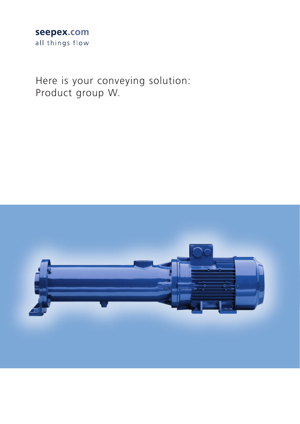### seepex.com all things flow

Here is your conveying solution: Product group W.

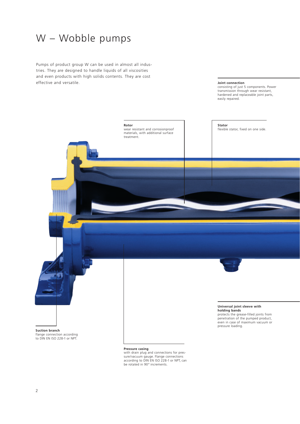## W – Wobble pumps

Pumps of product group W can be used in almost all industries. They are designed to handle liquids of all viscosities and even products with high solids contents. They are cost effective and versatile.

**Joint connection**<br>consisting of just 5 components. Power<br>transmission through wear resistant,<br>hardened and replaceable joint parts, easily repaired.

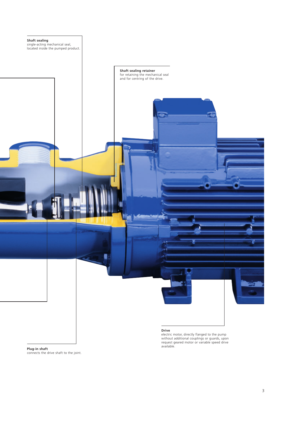

#### **Plug-in shaft** connects the drive shaft to the joint.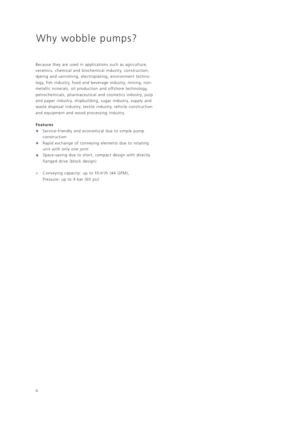# Why wobble pumps?

Because they are used in applications such as agriculture, ceramics, chemical and biochemical industry, construction, dyeing and varnishing, electroplating, environment technology, fish industry, food and beverage industry, mining, nonmetallic minerals, oil production and offshore technology, petrochemicals, pharmaceutical and cosmetics industry, pulp and paper industry, shipbuilding, sugar industry, supply and waste disposal industry, textile industry, vehicle construction and equipment and wood processing industry.

#### **Features**

- **•** Service-friendly and economical due to simple pump construction
- **•** Rapid exchange of conveying elements due to rotating unit with only one joint
- **•** Space-saving due to short, compact design with directly flanged drive (block design)
- > Conveying capacity: up to 10 m3 /h (44 GPM), Pressure: up to 4 bar (60 psi)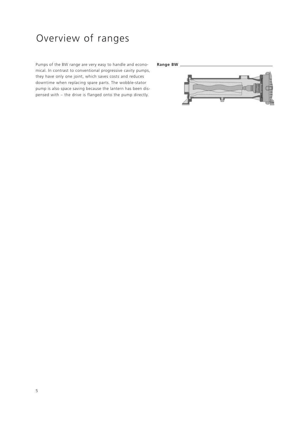# Overview of ranges

Pumps of the BW range are very easy to handle and econo- **Range BW** mical. In contrast to conventional progressive cavity pumps, they have only one joint, which saves costs and reduces downtime when replacing spare parts. The wobble-stator pump is also space saving because the lantern has been dispensed with – the drive is flanged onto the pump directly.